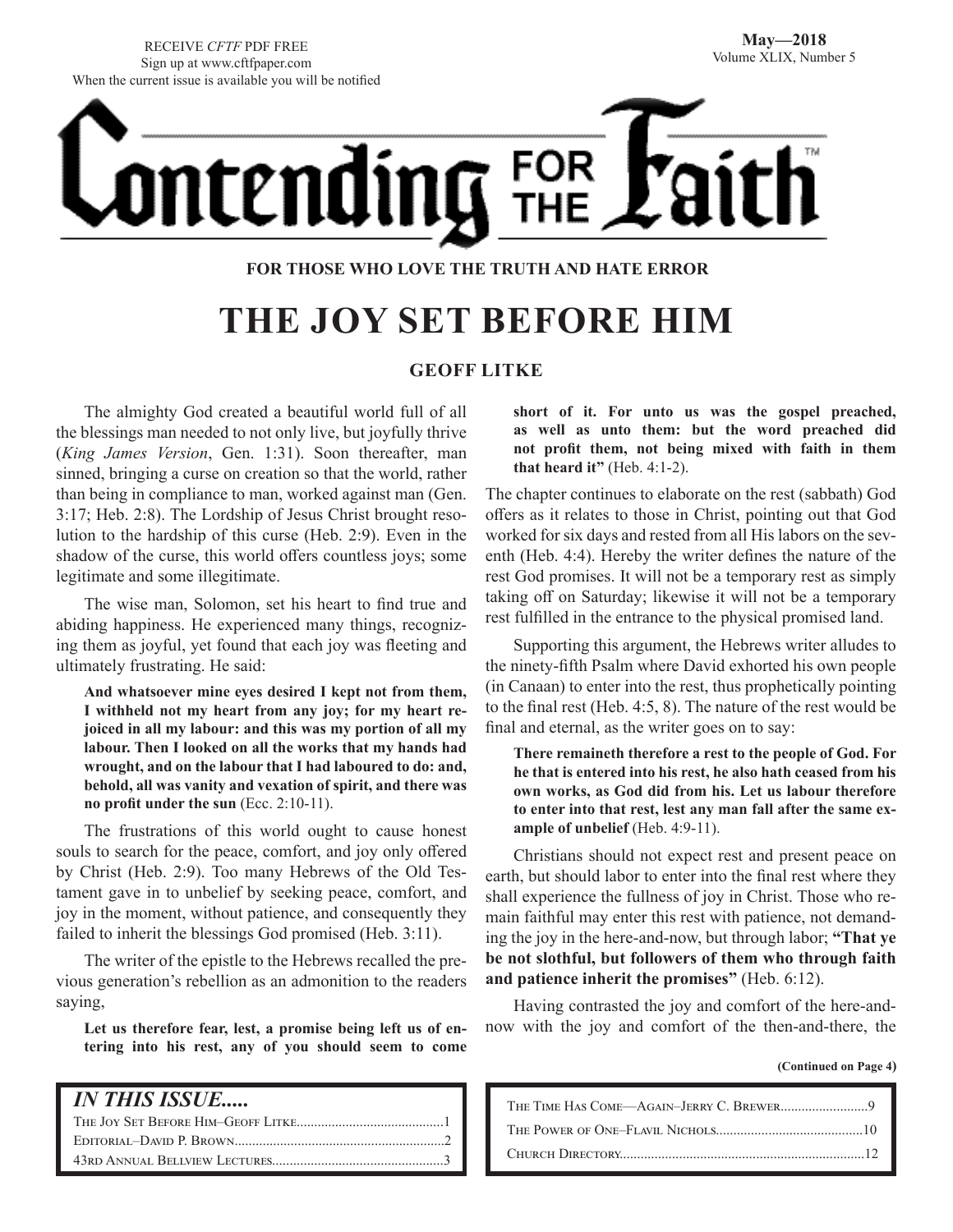RECEIVE *CFTF* PDF FREE Sign up at www.cftfpaper.com When the current issue is available you will be notified

ntending FOR

#### **FOR THOSE WHO LOVE THE TRUTH AND HATE ERROR**

## **THE JOY SET BEFORE HIM**

#### **GEOFF LITKE**

The almighty God created a beautiful world full of all the blessings man needed to not only live, but joyfully thrive (*King James Version*, Gen. 1:31). Soon thereafter, man sinned, bringing a curse on creation so that the world, rather than being in compliance to man, worked against man (Gen. 3:17; Heb. 2:8). The Lordship of Jesus Christ brought resolution to the hardship of this curse (Heb. 2:9). Even in the shadow of the curse, this world offers countless joys; some legitimate and some illegitimate.

The wise man, Solomon, set his heart to find true and abiding happiness. He experienced many things, recognizing them as joyful, yet found that each joy was fleeting and ultimately frustrating. He said:

**And whatsoever mine eyes desired I kept not from them, I withheld not my heart from any joy; for my heart rejoiced in all my labour: and this was my portion of all my labour. Then I looked on all the works that my hands had wrought, and on the labour that I had laboured to do: and, behold, all was vanity and vexation of spirit, and there was no profit under the sun** (Ecc. 2:10-11).

The frustrations of this world ought to cause honest souls to search for the peace, comfort, and joy only offered by Christ (Heb. 2:9). Too many Hebrews of the Old Testament gave in to unbelief by seeking peace, comfort, and joy in the moment, without patience, and consequently they failed to inherit the blessings God promised (Heb. 3:11).

The writer of the epistle to the Hebrews recalled the previous generation's rebellion as an admonition to the readers saying,

**Let us therefore fear, lest, a promise being left us of entering into his rest, any of you should seem to come** 

#### *IN THIS ISSUE.....*

The Joy Set Before Him–Geoff Litke..........................................1 Editorial–David P. Brown............................................................2 43rd Annual Bellview Lectures.................................................3

**short of it. For unto us was the gospel preached, as well as unto them: but the word preached did not profit them, not being mixed with faith in them that heard it"** (Heb. 4:1-2).

The chapter continues to elaborate on the rest (sabbath) God offers as it relates to those in Christ, pointing out that God worked for six days and rested from all His labors on the seventh (Heb. 4:4). Hereby the writer defines the nature of the rest God promises. It will not be a temporary rest as simply taking off on Saturday; likewise it will not be a temporary rest fulfilled in the entrance to the physical promised land.

Supporting this argument, the Hebrews writer alludes to the ninety-fifth Psalm where David exhorted his own people (in Canaan) to enter into the rest, thus prophetically pointing to the final rest (Heb. 4:5, 8). The nature of the rest would be final and eternal, as the writer goes on to say:

**There remaineth therefore a rest to the people of God. For he that is entered into his rest, he also hath ceased from his own works, as God did from his. Let us labour therefore to enter into that rest, lest any man fall after the same example of unbelief** (Heb. 4:9-11).

Christians should not expect rest and present peace on earth, but should labor to enter into the final rest where they shall experience the fullness of joy in Christ. Those who remain faithful may enter this rest with patience, not demanding the joy in the here-and-now, but through labor; **"That ye be not slothful, but followers of them who through faith and patience inherit the promises"** (Heb. 6:12).

Having contrasted the joy and comfort of the here-andnow with the joy and comfort of the then-and-there, the

**(Continued on Page 4)**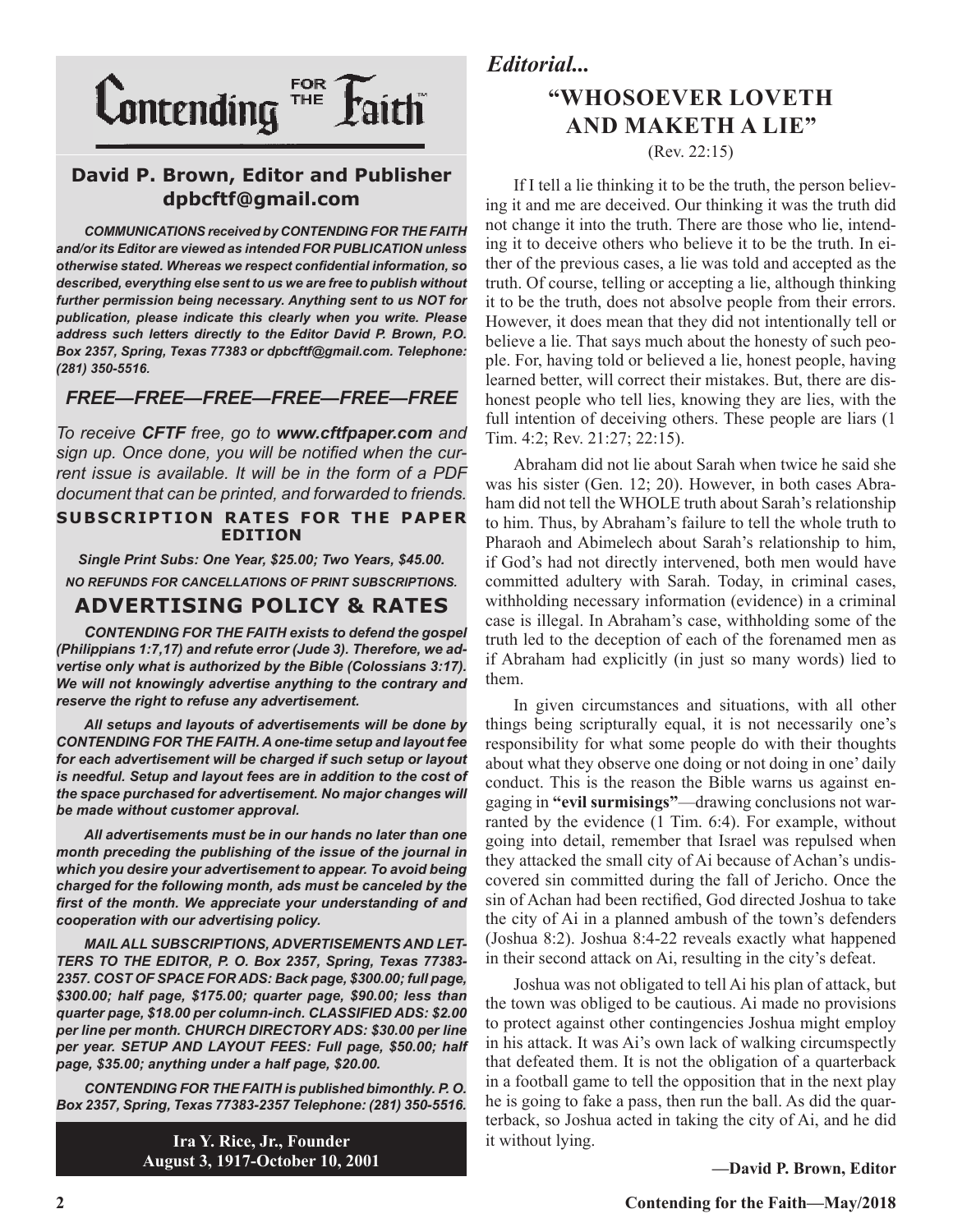

#### **David P. Brown, Editor and Publisher dpbcftf@gmail.com**

*COMMUNICATIONS received by CONTENDING FOR THE FAITH and/or its Editor are viewed as intended FOR PUBLICATION unless otherwise stated. Whereas we respect confidential information, so described, everything else sent to us we are free to publish without further permission being necessary. Anything sent to us NOT for publication, please indicate this clearly when you write. Please address such letters directly to the Editor David P. Brown, P.O. Box 2357, Spring, Texas 77383 or dpbcftf@gmail.com. Telephone: (281) 350-5516.*

#### *FREE—FREE—FREE—FREE—FREE—FREE*

*To receive CFTF free, go to www.cftfpaper.com and sign up. Once done, you will be notified when the current issue is available. It will be in the form of a PDF document that can be printed, and forwarded to friends.*

#### **SUBSCRIPTION RATES FOR THE PAPER EDITION**

*Single Print Subs: One Year, \$25.00; Two Years, \$45.00. NO REFUNDS FOR CANCELLATIONS OF PRINT SUBSCRIPTIONS.*

#### **ADVERTISING POLICY & RATES**

*CONTENDING FOR THE FAITH exists to defend the gospel (Philippians 1:7,17) and refute error (Jude 3). Therefore, we advertise only what is authorized by the Bible (Colossians 3:17). We will not knowingly advertise anything to the contrary and reserve the right to refuse any advertisement.*

*All setups and layouts of advertisements will be done by CONTENDING FOR THE FAITH. A one-time setup and layout fee for each advertisement will be charged if such setup or layout*  is needful. Setup and layout fees are in addition to the cost of *the space purchased for advertisement. No major changes will be made without customer approval.*

*All advertisements must be in our hands no later than one month preceding the publishing of the issue of the journal in which you desire your advertisement to appear. To avoid being charged for the following month, ads must be canceled by the first of the month. We appreciate your understanding of and cooperation with our advertising policy.*

*MAIL ALL SUBSCRIPTIONS, ADVERTISEMENTS AND LET-TERS TO THE EDITOR, P. O. Box 2357, Spring, Texas 77383- 2357. COST OF SPACE FOR ADS: Back page, \$300.00; full page, \$300.00; half page, \$175.00; quarter page, \$90.00; less than quarter page, \$18.00 per column-inch. CLASSIFIED ADS: \$2.00 per line per month. CHURCH DIRECTORY ADS: \$30.00 per line per year. SETUP AND LAYOUT FEES: Full page, \$50.00; half page, \$35.00; anything under a half page, \$20.00.*

*CONTENDING FOR THE FAITH is published bimonthly. P. O. Box 2357, Spring, Texas 77383-2357 Telephone: (281) 350-5516.*

> **Ira Y. Rice, Jr., Founder August 3, 1917-October 10, 2001**

#### *Editorial...*

## **"WHOSOEVER LOVETH AND MAKETH A LIE"**

(Rev. 22:15)

If I tell a lie thinking it to be the truth, the person believing it and me are deceived. Our thinking it was the truth did not change it into the truth. There are those who lie, intending it to deceive others who believe it to be the truth. In either of the previous cases, a lie was told and accepted as the truth. Of course, telling or accepting a lie, although thinking it to be the truth, does not absolve people from their errors. However, it does mean that they did not intentionally tell or believe a lie. That says much about the honesty of such people. For, having told or believed a lie, honest people, having learned better, will correct their mistakes. But, there are dishonest people who tell lies, knowing they are lies, with the full intention of deceiving others. These people are liars (1 Tim. 4:2; Rev. 21:27; 22:15).

Abraham did not lie about Sarah when twice he said she was his sister (Gen. 12; 20). However, in both cases Abraham did not tell the WHOLE truth about Sarah's relationship to him. Thus, by Abraham's failure to tell the whole truth to Pharaoh and Abimelech about Sarah's relationship to him, if God's had not directly intervened, both men would have committed adultery with Sarah. Today, in criminal cases, withholding necessary information (evidence) in a criminal case is illegal. In Abraham's case, withholding some of the truth led to the deception of each of the forenamed men as if Abraham had explicitly (in just so many words) lied to them.

In given circumstances and situations, with all other things being scripturally equal, it is not necessarily one's responsibility for what some people do with their thoughts about what they observe one doing or not doing in one' daily conduct. This is the reason the Bible warns us against engaging in **"evil surmisings"**—drawing conclusions not warranted by the evidence (1 Tim. 6:4). For example, without going into detail, remember that Israel was repulsed when they attacked the small city of Ai because of Achan's undiscovered sin committed during the fall of Jericho. Once the sin of Achan had been rectified, God directed Joshua to take the city of Ai in a planned ambush of the town's defenders (Joshua 8:2). Joshua 8:4-22 reveals exactly what happened in their second attack on Ai, resulting in the city's defeat.

Joshua was not obligated to tell Ai his plan of attack, but the town was obliged to be cautious. Ai made no provisions to protect against other contingencies Joshua might employ in his attack. It was Ai's own lack of walking circumspectly that defeated them. It is not the obligation of a quarterback in a football game to tell the opposition that in the next play he is going to fake a pass, then run the ball. As did the quarterback, so Joshua acted in taking the city of Ai, and he did it without lying.

**—David P. Brown, Editor**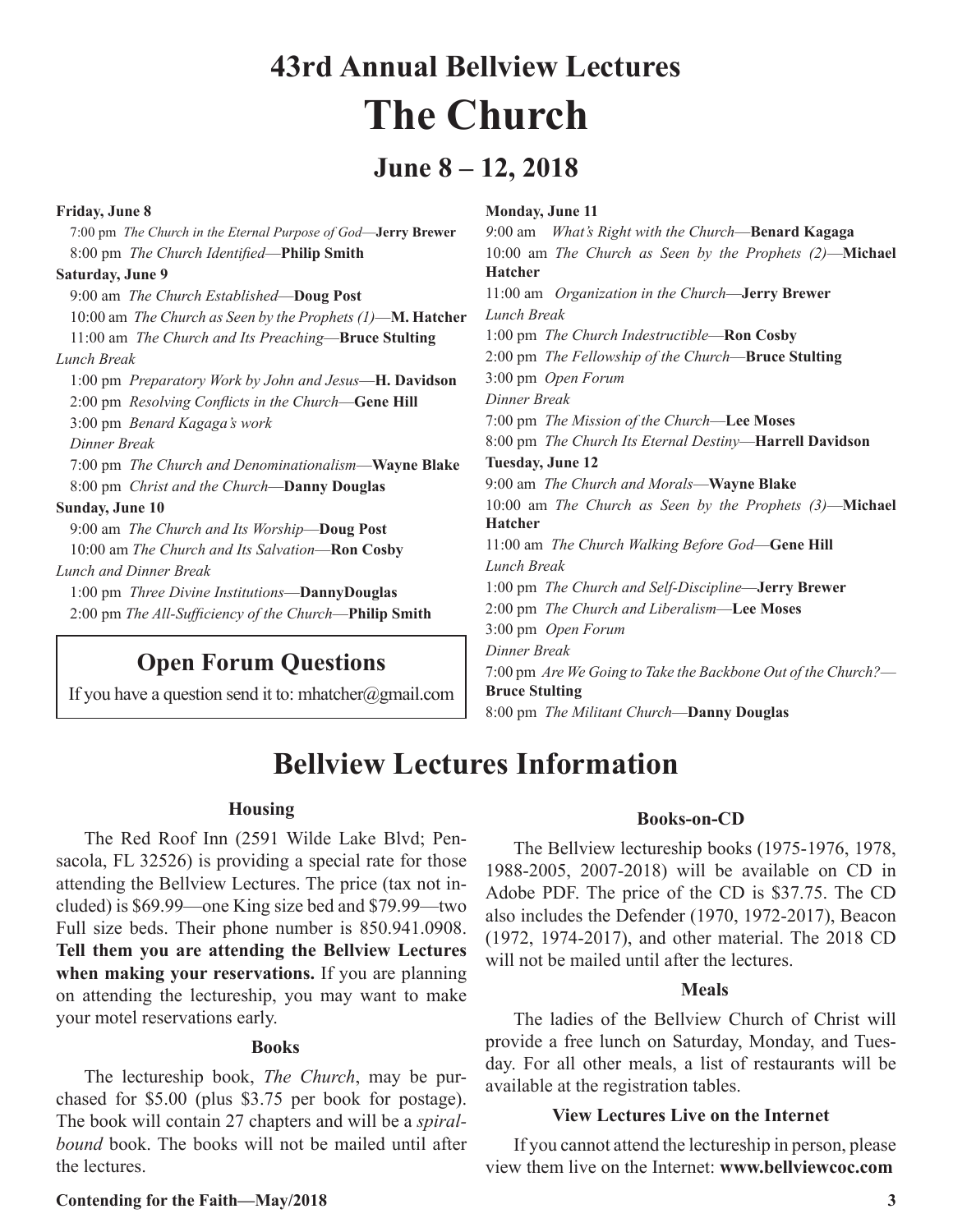## **43rd Annual Bellview Lectures The Church**

## **June 8 – 12, 2018**

| <b>Friday, June 8</b>                                         | <b>Monday, June 11</b>                                        |
|---------------------------------------------------------------|---------------------------------------------------------------|
| 7:00 pm The Church in the Eternal Purpose of God-Jerry Brewer | 9:00 am What's Right with the Church-Benard Kagaga            |
| 8:00 pm The Church Identified-Philip Smith                    | 10:00 am The Church as Seen by the Prophets $(2)$ —Michael    |
| Saturday, June 9                                              | <b>Hatcher</b>                                                |
| 9:00 am The Church Established-Doug Post                      | 11:00 am Organization in the Church-Jerry Brewer              |
| 10:00 am The Church as Seen by the Prophets $(1)$ —M. Hatcher | Lunch Break                                                   |
| 11:00 am The Church and Its Preaching-Bruce Stulting          | 1:00 pm The Church Indestructible—Ron Cosby                   |
| Lunch Break                                                   | 2:00 pm The Fellowship of the Church-Bruce Stulting           |
| 1:00 pm Preparatory Work by John and Jesus-H. Davidson        | 3:00 pm Open Forum                                            |
| 2:00 pm Resolving Conflicts in the Church-Gene Hill           | Dinner Break                                                  |
| 3:00 pm Benard Kagaga's work                                  | 7:00 pm The Mission of the Church-Lee Moses                   |
| Dinner Break                                                  | 8:00 pm The Church Its Eternal Destiny-Harrell Davidson       |
| 7:00 pm The Church and Denominationalism—Wayne Blake          | <b>Tuesday, June 12</b>                                       |
| 8:00 pm <i>Christ and the Church</i> — <b>Danny Douglas</b>   | 9:00 am The Church and Morals-Wayne Blake                     |
| <b>Sunday, June 10</b>                                        | 10:00 am The Church as Seen by the Prophets $(3)$ —Michael    |
| 9:00 am The Church and Its Worship-Doug Post                  | <b>Hatcher</b>                                                |
| 10:00 am The Church and Its Salvation-Ron Cosby               | 11:00 am The Church Walking Before God-Gene Hill              |
| Lunch and Dinner Break                                        | Lunch Break                                                   |
| 1:00 pm Three Divine Institutions-DannyDouglas                | 1:00 pm The Church and Self-Discipline— <b>Jerry Brewer</b>   |
| 2:00 pm The All-Sufficiency of the Church-Philip Smith        | 2:00 pm The Church and Liberalism-Lee Moses                   |
|                                                               | 3:00 pm Open Forum                                            |
|                                                               | Dinner Break                                                  |
| <b>Open Forum Questions</b>                                   | 7:00 pm Are We Going to Take the Backbone Out of the Church?— |
| If you have a question send it to: mhatcher@omail.com         | <b>Bruce Stulting</b>                                         |

If you have a question send it to: mhatcher@gmail.com

8:00 pm *The Militant Church*—**Danny Douglas**

## **Bellview Lectures Information**

#### **Housing**

The Red Roof Inn (2591 Wilde Lake Blvd; Pensacola, FL 32526) is providing a special rate for those attending the Bellview Lectures. The price (tax not included) is \$69.99—one King size bed and \$79.99—two Full size beds. Their phone number is 850.941.0908. **Tell them you are attending the Bellview Lectures when making your reservations.** If you are planning on attending the lectureship, you may want to make your motel reservations early.

#### **Books**

The lectureship book, *The Church*, may be purchased for \$5.00 (plus \$3.75 per book for postage). The book will contain 27 chapters and will be a *spiralbound* book. The books will not be mailed until after the lectures.

#### **Books-on-CD**

The Bellview lectureship books (1975-1976, 1978, 1988-2005, 2007-2018) will be available on CD in Adobe PDF. The price of the CD is \$37.75. The CD also includes the Defender (1970, 1972-2017), Beacon (1972, 1974-2017), and other material. The 2018 CD will not be mailed until after the lectures.

#### **Meals**

The ladies of the Bellview Church of Christ will provide a free lunch on Saturday, Monday, and Tuesday. For all other meals, a list of restaurants will be available at the registration tables.

#### **View Lectures Live on the Internet**

If you cannot attend the lectureship in person, please view them live on the Internet: **www.bellviewcoc.com**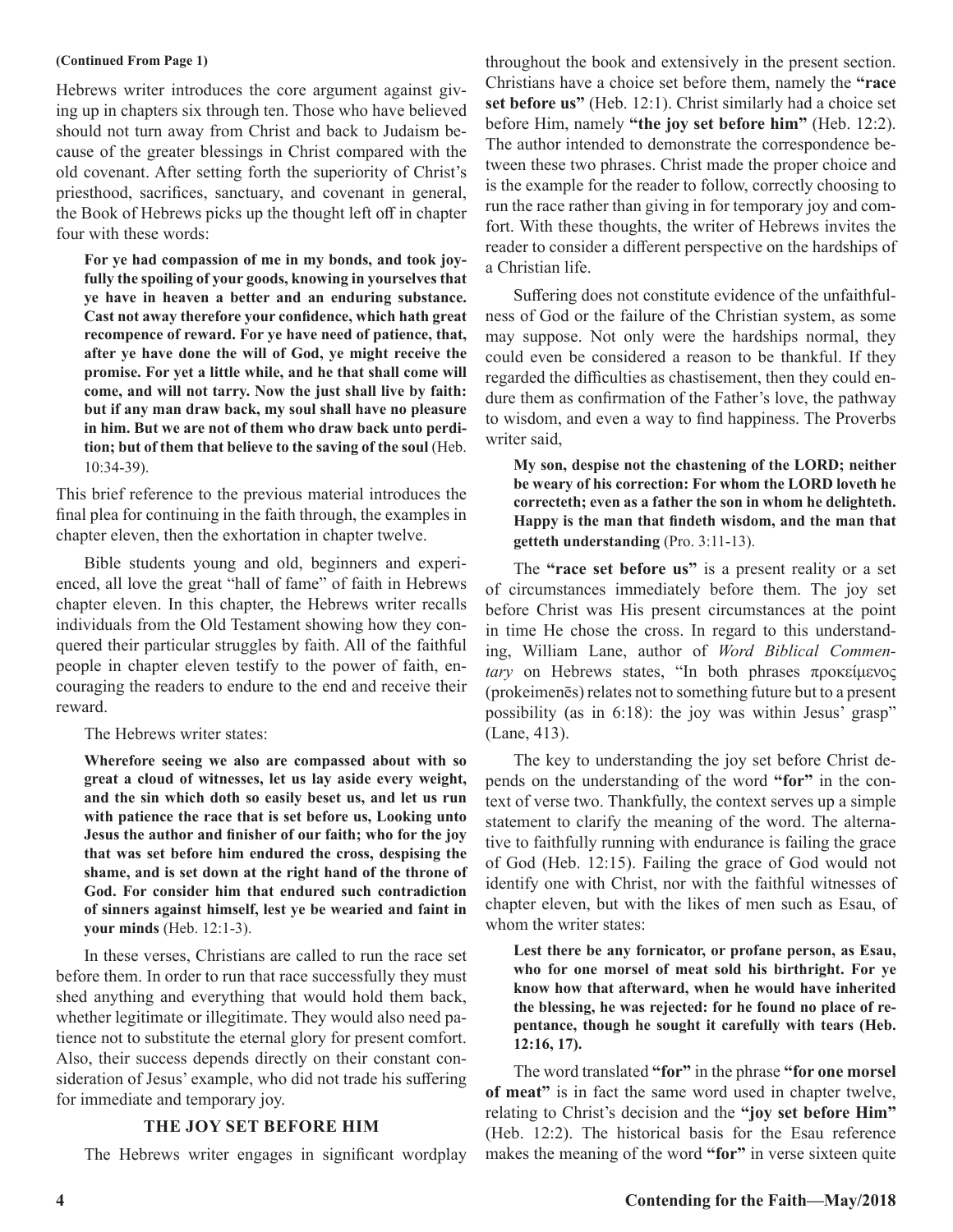#### **(Continued From Page 1)**

Hebrews writer introduces the core argument against giving up in chapters six through ten. Those who have believed should not turn away from Christ and back to Judaism because of the greater blessings in Christ compared with the old covenant. After setting forth the superiority of Christ's priesthood, sacrifices, sanctuary, and covenant in general, the Book of Hebrews picks up the thought left off in chapter four with these words:

**For ye had compassion of me in my bonds, and took joyfully the spoiling of your goods, knowing in yourselves that ye have in heaven a better and an enduring substance. Cast not away therefore your confidence, which hath great recompence of reward. For ye have need of patience, that, after ye have done the will of God, ye might receive the promise. For yet a little while, and he that shall come will come, and will not tarry. Now the just shall live by faith: but if any man draw back, my soul shall have no pleasure in him. But we are not of them who draw back unto perdition; but of them that believe to the saving of the soul** (Heb. 10:34-39).

This brief reference to the previous material introduces the final plea for continuing in the faith through, the examples in chapter eleven, then the exhortation in chapter twelve.

Bible students young and old, beginners and experienced, all love the great "hall of fame" of faith in Hebrews chapter eleven. In this chapter, the Hebrews writer recalls individuals from the Old Testament showing how they conquered their particular struggles by faith. All of the faithful people in chapter eleven testify to the power of faith, encouraging the readers to endure to the end and receive their reward.

The Hebrews writer states:

**Wherefore seeing we also are compassed about with so great a cloud of witnesses, let us lay aside every weight, and the sin which doth so easily beset us, and let us run with patience the race that is set before us, Looking unto Jesus the author and finisher of our faith; who for the joy that was set before him endured the cross, despising the shame, and is set down at the right hand of the throne of God. For consider him that endured such contradiction of sinners against himself, lest ye be wearied and faint in your minds** (Heb. 12:1-3).

In these verses, Christians are called to run the race set before them. In order to run that race successfully they must shed anything and everything that would hold them back, whether legitimate or illegitimate. They would also need patience not to substitute the eternal glory for present comfort. Also, their success depends directly on their constant consideration of Jesus' example, who did not trade his suffering for immediate and temporary joy.

#### **THE JOY SET BEFORE HIM**

The Hebrews writer engages in significant wordplay

throughout the book and extensively in the present section. Christians have a choice set before them, namely the **"race set before us"** (Heb. 12:1). Christ similarly had a choice set before Him, namely **"the joy set before him"** (Heb. 12:2). The author intended to demonstrate the correspondence between these two phrases. Christ made the proper choice and is the example for the reader to follow, correctly choosing to run the race rather than giving in for temporary joy and comfort. With these thoughts, the writer of Hebrews invites the reader to consider a different perspective on the hardships of a Christian life.

Suffering does not constitute evidence of the unfaithfulness of God or the failure of the Christian system, as some may suppose. Not only were the hardships normal, they could even be considered a reason to be thankful. If they regarded the difficulties as chastisement, then they could endure them as confirmation of the Father's love, the pathway to wisdom, and even a way to find happiness. The Proverbs writer said,

**My son, despise not the chastening of the LORD; neither be weary of his correction: For whom the LORD loveth he correcteth; even as a father the son in whom he delighteth. Happy is the man that findeth wisdom, and the man that getteth understanding** (Pro. 3:11-13).

The **"race set before us"** is a present reality or a set of circumstances immediately before them. The joy set before Christ was His present circumstances at the point in time He chose the cross. In regard to this understanding, William Lane, author of *Word Biblical Commentary* on Hebrews states, "In both phrases προκείμενος (prokeimenēs) relates not to something future but to a present possibility (as in 6:18): the joy was within Jesus' grasp" (Lane, 413).

The key to understanding the joy set before Christ depends on the understanding of the word **"for"** in the context of verse two. Thankfully, the context serves up a simple statement to clarify the meaning of the word. The alternative to faithfully running with endurance is failing the grace of God (Heb. 12:15). Failing the grace of God would not identify one with Christ, nor with the faithful witnesses of chapter eleven, but with the likes of men such as Esau, of whom the writer states:

**Lest there be any fornicator, or profane person, as Esau, who for one morsel of meat sold his birthright. For ye know how that afterward, when he would have inherited the blessing, he was rejected: for he found no place of repentance, though he sought it carefully with tears (Heb. 12:16, 17).**

The word translated **"for"** in the phrase **"for one morsel of meat"** is in fact the same word used in chapter twelve, relating to Christ's decision and the **"joy set before Him"** (Heb. 12:2). The historical basis for the Esau reference makes the meaning of the word **"for"** in verse sixteen quite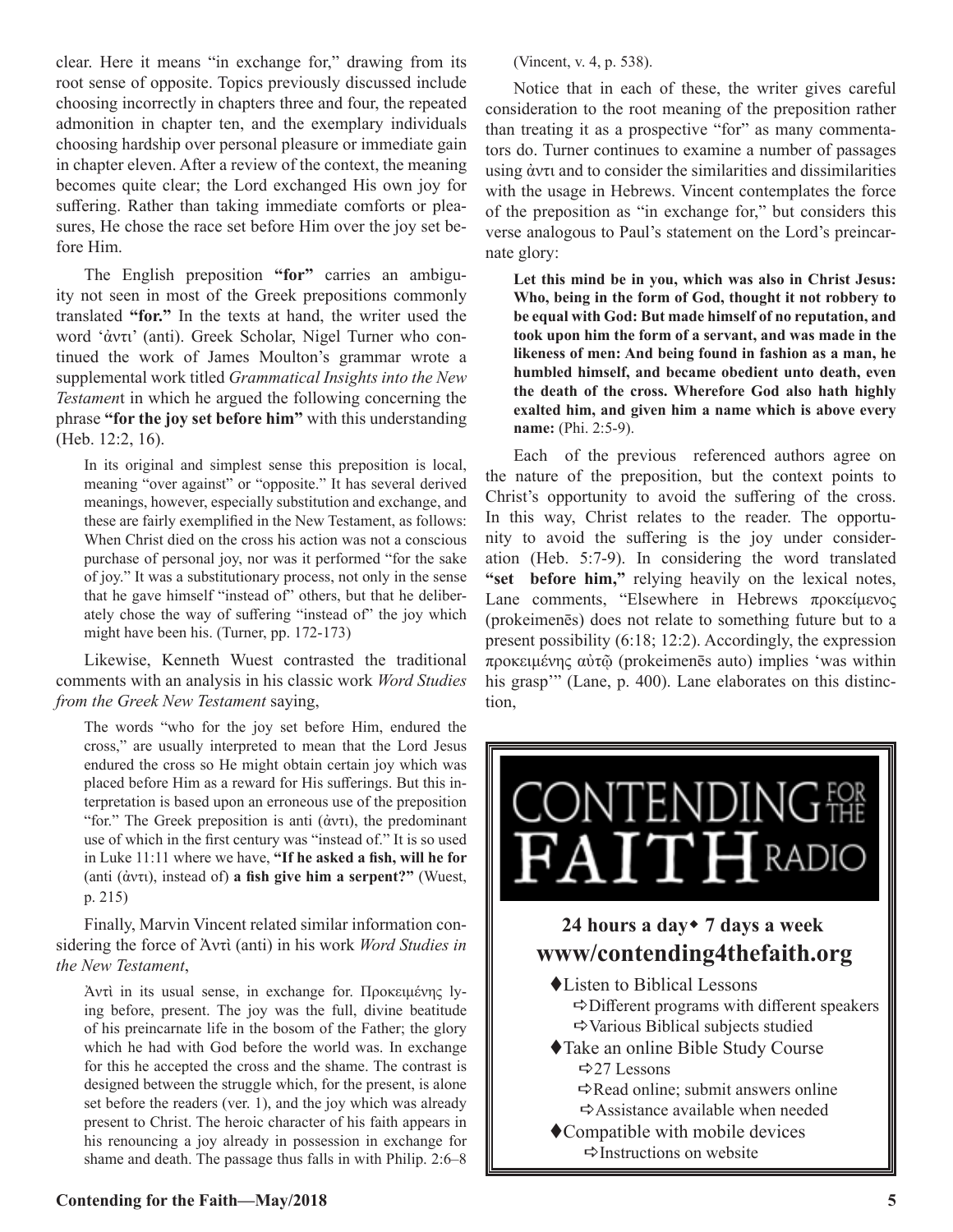clear. Here it means "in exchange for," drawing from its root sense of opposite. Topics previously discussed include choosing incorrectly in chapters three and four, the repeated admonition in chapter ten, and the exemplary individuals choosing hardship over personal pleasure or immediate gain in chapter eleven. After a review of the context, the meaning becomes quite clear; the Lord exchanged His own joy for suffering. Rather than taking immediate comforts or pleasures, He chose the race set before Him over the joy set before Him.

The English preposition **"for"** carries an ambiguity not seen in most of the Greek prepositions commonly translated **"for."** In the texts at hand, the writer used the word 'ἀντι' (anti). Greek Scholar, Nigel Turner who continued the work of James Moulton's grammar wrote a supplemental work titled *Grammatical Insights into the New Testamen*t in which he argued the following concerning the phrase **"for the joy set before him"** with this understanding (Heb. 12:2, 16).

In its original and simplest sense this preposition is local, meaning "over against" or "opposite." It has several derived meanings, however, especially substitution and exchange, and these are fairly exemplified in the New Testament, as follows: When Christ died on the cross his action was not a conscious purchase of personal joy, nor was it performed "for the sake of joy." It was a substitutionary process, not only in the sense that he gave himself "instead of" others, but that he deliberately chose the way of suffering "instead of" the joy which might have been his. (Turner, pp. 172-173)

Likewise, Kenneth Wuest contrasted the traditional comments with an analysis in his classic work *Word Studies from the Greek New Testament* saying,

The words "who for the joy set before Him, endured the cross," are usually interpreted to mean that the Lord Jesus endured the cross so He might obtain certain joy which was placed before Him as a reward for His sufferings. But this interpretation is based upon an erroneous use of the preposition "for." The Greek preposition is anti (ἀντι), the predominant use of which in the first century was "instead of." It is so used in Luke 11:11 where we have, **"If he asked a fish, will he for**  (anti (ἀντι), instead of) **a fish give him a serpent?"** (Wuest, p. 215)

Finally, Marvin Vincent related similar information considering the force of Ἀντὶ (anti) in his work *Word Studies in the New Testament*,

Ἀντὶ in its usual sense, in exchange for. Προκειμένης lying before, present. The joy was the full, divine beatitude of his preincarnate life in the bosom of the Father; the glory which he had with God before the world was. In exchange for this he accepted the cross and the shame. The contrast is designed between the struggle which, for the present, is alone set before the readers (ver. 1), and the joy which was already present to Christ. The heroic character of his faith appears in his renouncing a joy already in possession in exchange for shame and death. The passage thus falls in with Philip. 2:6–8

(Vincent, v. 4, p. 538).

Notice that in each of these, the writer gives careful consideration to the root meaning of the preposition rather than treating it as a prospective "for" as many commentators do. Turner continues to examine a number of passages using ἀντι and to consider the similarities and dissimilarities with the usage in Hebrews. Vincent contemplates the force of the preposition as "in exchange for," but considers this verse analogous to Paul's statement on the Lord's preincarnate glory:

**Let this mind be in you, which was also in Christ Jesus: Who, being in the form of God, thought it not robbery to be equal with God: But made himself of no reputation, and took upon him the form of a servant, and was made in the likeness of men: And being found in fashion as a man, he humbled himself, and became obedient unto death, even the death of the cross. Wherefore God also hath highly exalted him, and given him a name which is above every name:** (Phi. 2:5-9).

Each of the previous referenced authors agree on the nature of the preposition, but the context points to Christ's opportunity to avoid the suffering of the cross. In this way, Christ relates to the reader. The opportunity to avoid the suffering is the joy under consideration (Heb. 5:7-9). In considering the word translated **"set before him,"** relying heavily on the lexical notes, Lane comments, "Elsewhere in Hebrews προκείμενος (prokeimenēs) does not relate to something future but to a present possibility (6:18; 12:2). Accordingly, the expression προκειμένης αὐτῷ (prokeimenēs auto) implies 'was within his grasp"" (Lane, p. 400). Lane elaborates on this distinction,

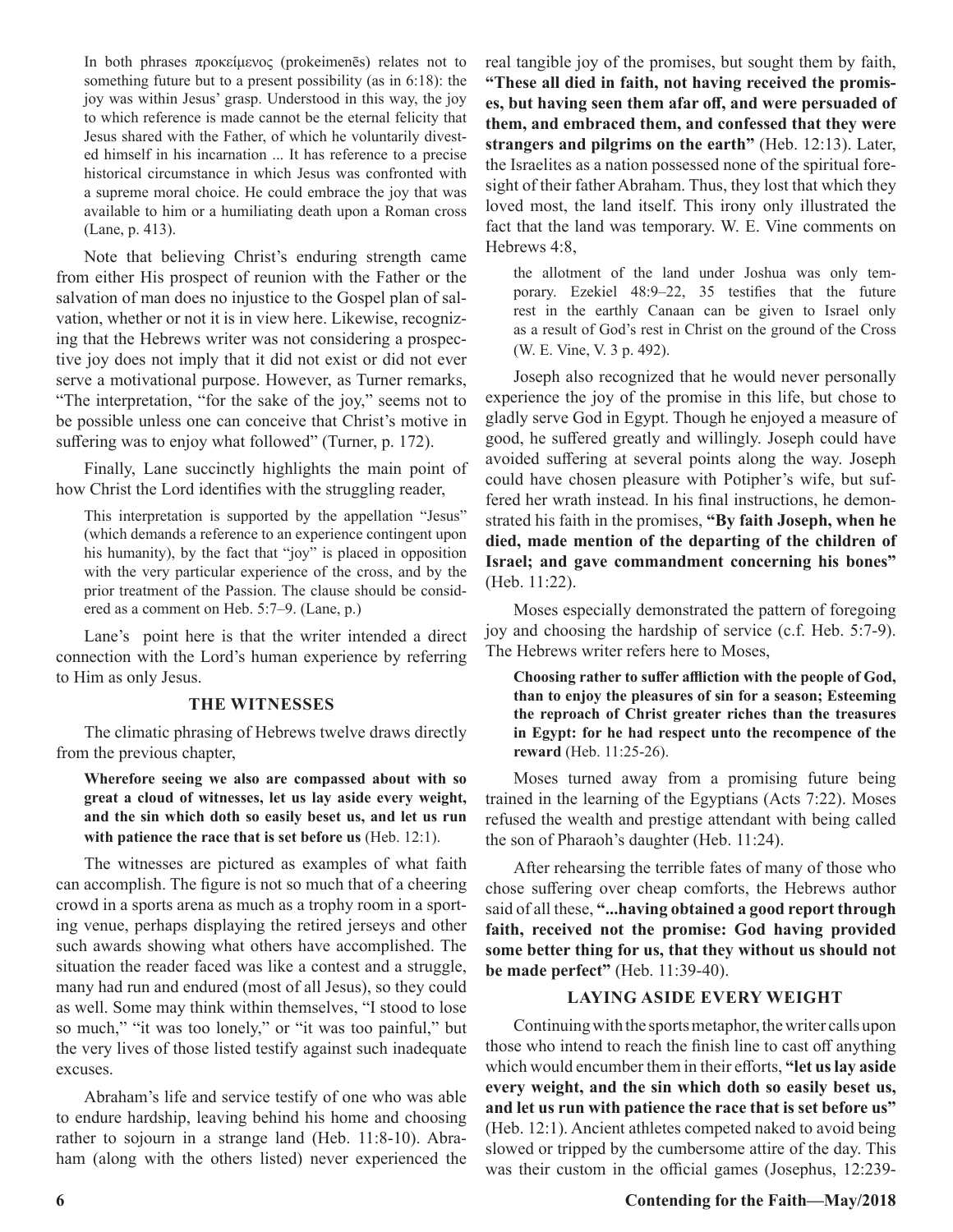In both phrases προκείμενος (prokeimenēs) relates not to something future but to a present possibility (as in 6:18): the joy was within Jesus' grasp. Understood in this way, the joy to which reference is made cannot be the eternal felicity that Jesus shared with the Father, of which he voluntarily divested himself in his incarnation ... It has reference to a precise historical circumstance in which Jesus was confronted with a supreme moral choice. He could embrace the joy that was available to him or a humiliating death upon a Roman cross (Lane, p. 413).

Note that believing Christ's enduring strength came from either His prospect of reunion with the Father or the salvation of man does no injustice to the Gospel plan of salvation, whether or not it is in view here. Likewise, recognizing that the Hebrews writer was not considering a prospective joy does not imply that it did not exist or did not ever serve a motivational purpose. However, as Turner remarks, "The interpretation, "for the sake of the joy," seems not to be possible unless one can conceive that Christ's motive in suffering was to enjoy what followed" (Turner, p. 172).

Finally, Lane succinctly highlights the main point of how Christ the Lord identifies with the struggling reader,

This interpretation is supported by the appellation "Jesus" (which demands a reference to an experience contingent upon his humanity), by the fact that "joy" is placed in opposition with the very particular experience of the cross, and by the prior treatment of the Passion. The clause should be considered as a comment on Heb. 5:7–9. (Lane, p.)

Lane's point here is that the writer intended a direct connection with the Lord's human experience by referring to Him as only Jesus.

#### **THE WITNESSES**

The climatic phrasing of Hebrews twelve draws directly from the previous chapter,

**Wherefore seeing we also are compassed about with so great a cloud of witnesses, let us lay aside every weight, and the sin which doth so easily beset us, and let us run with patience the race that is set before us** (Heb. 12:1).

The witnesses are pictured as examples of what faith can accomplish. The figure is not so much that of a cheering crowd in a sports arena as much as a trophy room in a sporting venue, perhaps displaying the retired jerseys and other such awards showing what others have accomplished. The situation the reader faced was like a contest and a struggle, many had run and endured (most of all Jesus), so they could as well. Some may think within themselves, "I stood to lose so much," "it was too lonely," or "it was too painful," but the very lives of those listed testify against such inadequate excuses.

Abraham's life and service testify of one who was able to endure hardship, leaving behind his home and choosing rather to sojourn in a strange land (Heb. 11:8-10). Abraham (along with the others listed) never experienced the real tangible joy of the promises, but sought them by faith, **"These all died in faith, not having received the promises, but having seen them afar off, and were persuaded of them, and embraced them, and confessed that they were strangers and pilgrims on the earth"** (Heb. 12:13). Later, the Israelites as a nation possessed none of the spiritual foresight of their father Abraham. Thus, they lost that which they loved most, the land itself. This irony only illustrated the fact that the land was temporary. W. E. Vine comments on Hebrews 4:8,

the allotment of the land under Joshua was only temporary. Ezekiel 48:9–22, 35 testifies that the future rest in the earthly Canaan can be given to Israel only as a result of God's rest in Christ on the ground of the Cross (W. E. Vine, V. 3 p. 492).

Joseph also recognized that he would never personally experience the joy of the promise in this life, but chose to gladly serve God in Egypt. Though he enjoyed a measure of good, he suffered greatly and willingly. Joseph could have avoided suffering at several points along the way. Joseph could have chosen pleasure with Potipher's wife, but suffered her wrath instead. In his final instructions, he demonstrated his faith in the promises, **"By faith Joseph, when he died, made mention of the departing of the children of Israel; and gave commandment concerning his bones"** (Heb. 11:22).

Moses especially demonstrated the pattern of foregoing joy and choosing the hardship of service (c.f. Heb. 5:7-9). The Hebrews writer refers here to Moses,

**Choosing rather to suffer affliction with the people of God, than to enjoy the pleasures of sin for a season; Esteeming the reproach of Christ greater riches than the treasures in Egypt: for he had respect unto the recompence of the reward** (Heb. 11:25-26).

Moses turned away from a promising future being trained in the learning of the Egyptians (Acts 7:22). Moses refused the wealth and prestige attendant with being called the son of Pharaoh's daughter (Heb. 11:24).

After rehearsing the terrible fates of many of those who chose suffering over cheap comforts, the Hebrews author said of all these, **"...having obtained a good report through faith, received not the promise: God having provided some better thing for us, that they without us should not be made perfect"** (Heb. 11:39-40).

#### **LAYING ASIDE EVERY WEIGHT**

Continuing with the sports metaphor, the writer calls upon those who intend to reach the finish line to cast off anything which would encumber them in their efforts, **"let us lay aside every weight, and the sin which doth so easily beset us, and let us run with patience the race that is set before us"**  (Heb. 12:1). Ancient athletes competed naked to avoid being slowed or tripped by the cumbersome attire of the day. This was their custom in the official games (Josephus, 12:239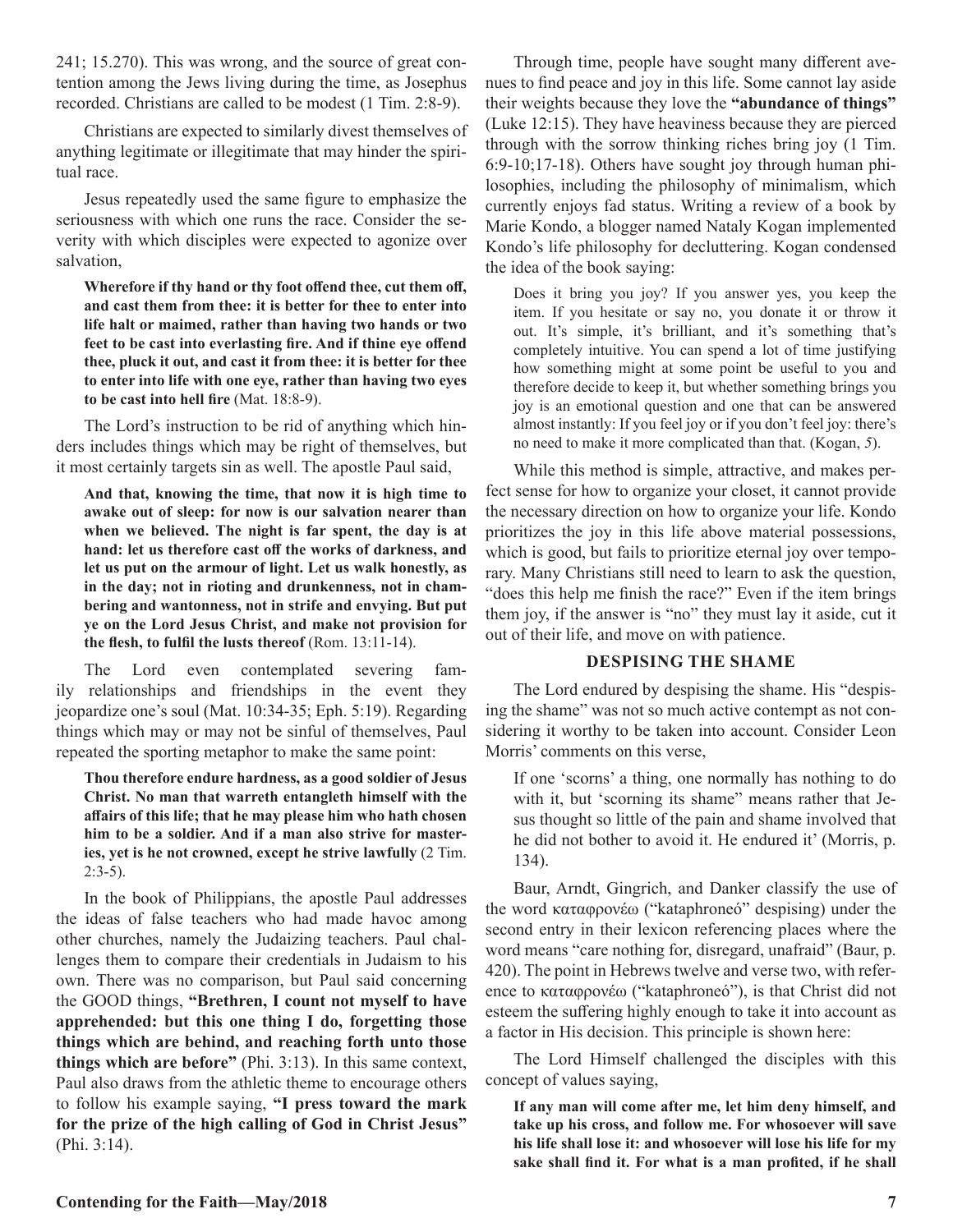241; 15.270). This was wrong, and the source of great contention among the Jews living during the time, as Josephus recorded. Christians are called to be modest (1 Tim. 2:8-9).

Christians are expected to similarly divest themselves of anything legitimate or illegitimate that may hinder the spiritual race.

Jesus repeatedly used the same figure to emphasize the seriousness with which one runs the race. Consider the severity with which disciples were expected to agonize over salvation,

**Wherefore if thy hand or thy foot offend thee, cut them off, and cast them from thee: it is better for thee to enter into life halt or maimed, rather than having two hands or two feet to be cast into everlasting fire. And if thine eye offend thee, pluck it out, and cast it from thee: it is better for thee to enter into life with one eye, rather than having two eyes to be cast into hell fire** (Mat. 18:8-9).

The Lord's instruction to be rid of anything which hinders includes things which may be right of themselves, but it most certainly targets sin as well. The apostle Paul said,

**And that, knowing the time, that now it is high time to awake out of sleep: for now is our salvation nearer than when we believed. The night is far spent, the day is at hand: let us therefore cast off the works of darkness, and let us put on the armour of light. Let us walk honestly, as in the day; not in rioting and drunkenness, not in chambering and wantonness, not in strife and envying. But put ye on the Lord Jesus Christ, and make not provision for the flesh, to fulfil the lusts thereof** (Rom. 13:11-14).

The Lord even contemplated severing family relationships and friendships in the event they jeopardize one's soul (Mat. 10:34-35; Eph. 5:19). Regarding things which may or may not be sinful of themselves, Paul repeated the sporting metaphor to make the same point:

**Thou therefore endure hardness, as a good soldier of Jesus Christ. No man that warreth entangleth himself with the affairs of this life; that he may please him who hath chosen him to be a soldier. And if a man also strive for masteries, yet is he not crowned, except he strive lawfully** (2 Tim.  $2:3-5$ ).

In the book of Philippians, the apostle Paul addresses the ideas of false teachers who had made havoc among other churches, namely the Judaizing teachers. Paul challenges them to compare their credentials in Judaism to his own. There was no comparison, but Paul said concerning the GOOD things, **"Brethren, I count not myself to have apprehended: but this one thing I do, forgetting those things which are behind, and reaching forth unto those things which are before"** (Phi. 3:13). In this same context, Paul also draws from the athletic theme to encourage others to follow his example saying, **"I press toward the mark for the prize of the high calling of God in Christ Jesus"** (Phi. 3:14).

Through time, people have sought many different avenues to find peace and joy in this life. Some cannot lay aside their weights because they love the **"abundance of things"** (Luke 12:15). They have heaviness because they are pierced through with the sorrow thinking riches bring joy (1 Tim. 6:9-10;17-18). Others have sought joy through human philosophies, including the philosophy of minimalism, which currently enjoys fad status. Writing a review of a book by Marie Kondo, a blogger named Nataly Kogan implemented Kondo's life philosophy for decluttering. Kogan condensed the idea of the book saying:

Does it bring you joy? If you answer yes, you keep the item. If you hesitate or say no, you donate it or throw it out. It's simple, it's brilliant, and it's something that's completely intuitive. You can spend a lot of time justifying how something might at some point be useful to you and therefore decide to keep it, but whether something brings you joy is an emotional question and one that can be answered almost instantly: If you feel joy or if you don't feel joy: there's no need to make it more complicated than that. (Kogan, *5*).

While this method is simple, attractive, and makes perfect sense for how to organize your closet, it cannot provide the necessary direction on how to organize your life. Kondo prioritizes the joy in this life above material possessions, which is good, but fails to prioritize eternal joy over temporary. Many Christians still need to learn to ask the question, "does this help me finish the race?" Even if the item brings them joy, if the answer is "no" they must lay it aside, cut it out of their life, and move on with patience.

#### **DESPISING THE SHAME**

The Lord endured by despising the shame. His "despising the shame" was not so much active contempt as not considering it worthy to be taken into account. Consider Leon Morris' comments on this verse,

If one 'scorns' a thing, one normally has nothing to do with it, but 'scorning its shame" means rather that Jesus thought so little of the pain and shame involved that he did not bother to avoid it. He endured it' (Morris, p. 134).

Baur, Arndt, Gingrich, and Danker classify the use of the word καταφρονέω ("kataphroneó" despising) under the second entry in their lexicon referencing places where the word means "care nothing for, disregard, unafraid" (Baur, p. 420). The point in Hebrews twelve and verse two, with reference to καταφρονέω ("kataphroneó"), is that Christ did not esteem the suffering highly enough to take it into account as a factor in His decision. This principle is shown here:

The Lord Himself challenged the disciples with this concept of values saying,

**If any man will come after me, let him deny himself, and take up his cross, and follow me. For whosoever will save his life shall lose it: and whosoever will lose his life for my sake shall find it. For what is a man profited, if he shall**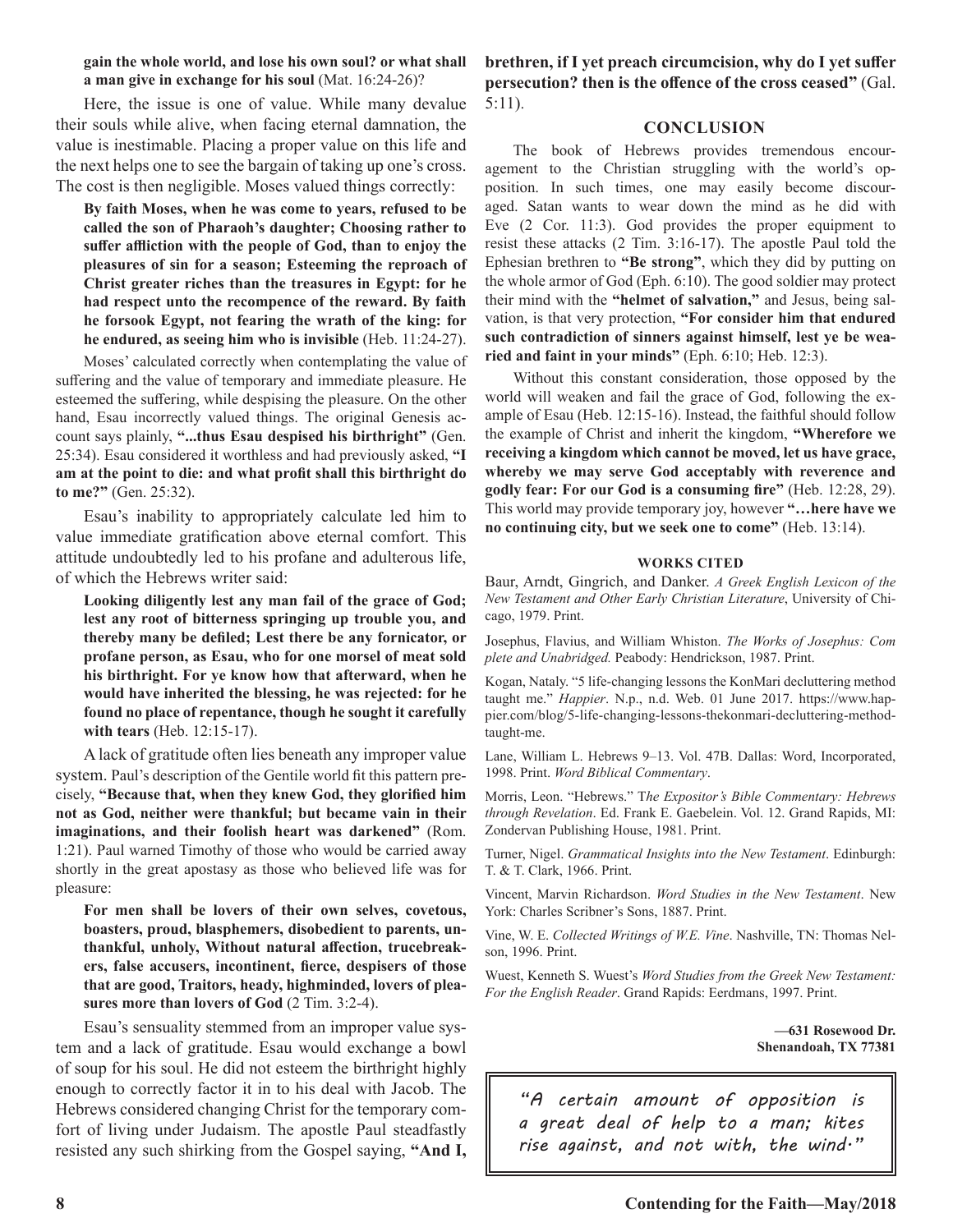#### **gain the whole world, and lose his own soul? or what shall a man give in exchange for his soul** (Mat. 16:24-26)?

Here, the issue is one of value. While many devalue their souls while alive, when facing eternal damnation, the value is inestimable. Placing a proper value on this life and the next helps one to see the bargain of taking up one's cross. The cost is then negligible. Moses valued things correctly:

**By faith Moses, when he was come to years, refused to be called the son of Pharaoh's daughter; Choosing rather to suffer affliction with the people of God, than to enjoy the pleasures of sin for a season; Esteeming the reproach of Christ greater riches than the treasures in Egypt: for he had respect unto the recompence of the reward. By faith he forsook Egypt, not fearing the wrath of the king: for he endured, as seeing him who is invisible** (Heb. 11:24-27).

Moses' calculated correctly when contemplating the value of suffering and the value of temporary and immediate pleasure. He esteemed the suffering, while despising the pleasure. On the other hand, Esau incorrectly valued things. The original Genesis account says plainly, **"...thus Esau despised his birthright"** (Gen. 25:34). Esau considered it worthless and had previously asked, **"I am at the point to die: and what profit shall this birthright do to me?"** (Gen. 25:32).

Esau's inability to appropriately calculate led him to value immediate gratification above eternal comfort. This attitude undoubtedly led to his profane and adulterous life, of which the Hebrews writer said:

**Looking diligently lest any man fail of the grace of God; lest any root of bitterness springing up trouble you, and thereby many be defiled; Lest there be any fornicator, or profane person, as Esau, who for one morsel of meat sold his birthright. For ye know how that afterward, when he would have inherited the blessing, he was rejected: for he found no place of repentance, though he sought it carefully with tears** (Heb. 12:15-17).

A lack of gratitude often lies beneath any improper value system. Paul's description of the Gentile world fit this pattern precisely, **"Because that, when they knew God, they glorified him not as God, neither were thankful; but became vain in their imaginations, and their foolish heart was darkened"** (Rom. 1:21). Paul warned Timothy of those who would be carried away shortly in the great apostasy as those who believed life was for pleasure:

**For men shall be lovers of their own selves, covetous, boasters, proud, blasphemers, disobedient to parents, unthankful, unholy, Without natural affection, trucebreakers, false accusers, incontinent, fierce, despisers of those that are good, Traitors, heady, highminded, lovers of pleasures more than lovers of God** (2 Tim. 3:2-4).

Esau's sensuality stemmed from an improper value system and a lack of gratitude. Esau would exchange a bowl of soup for his soul. He did not esteem the birthright highly enough to correctly factor it in to his deal with Jacob. The Hebrews considered changing Christ for the temporary comfort of living under Judaism. The apostle Paul steadfastly resisted any such shirking from the Gospel saying, **"And I,**  **brethren, if I yet preach circumcision, why do I yet suffer persecution? then is the offence of the cross ceased"** (Gal. 5:11).

#### **CONCLUSION**

The book of Hebrews provides tremendous encouragement to the Christian struggling with the world's opposition. In such times, one may easily become discouraged. Satan wants to wear down the mind as he did with Eve (2 Cor. 11:3). God provides the proper equipment to resist these attacks (2 Tim. 3:16-17). The apostle Paul told the Ephesian brethren to **"Be strong"**, which they did by putting on the whole armor of God (Eph. 6:10). The good soldier may protect their mind with the **"helmet of salvation,"** and Jesus, being salvation, is that very protection, **"For consider him that endured such contradiction of sinners against himself, lest ye be wearied and faint in your minds"** (Eph. 6:10; Heb. 12:3).

Without this constant consideration, those opposed by the world will weaken and fail the grace of God, following the example of Esau (Heb. 12:15-16). Instead, the faithful should follow the example of Christ and inherit the kingdom, **"Wherefore we receiving a kingdom which cannot be moved, let us have grace, whereby we may serve God acceptably with reverence and godly fear: For our God is a consuming fire"** (Heb. 12:28, 29). This world may provide temporary joy, however **"…here have we no continuing city, but we seek one to come"** (Heb. 13:14).

#### **WORKS CITED**

Baur, Arndt, Gingrich, and Danker. *A Greek English Lexicon of the New Testament and Other Early Christian Literature*, University of Chicago, 1979. Print.

Josephus, Flavius, and William Whiston. *The Works of Josephus: Com plete and Unabridged.* Peabody: Hendrickson, 1987. Print.

Kogan, Nataly. "5 life-changing lessons the KonMari decluttering method taught me." *Happier*. N.p., n.d. Web. 01 June 2017. https://www.happier.com/blog/5-life-changing-lessons-thekonmari-decluttering-methodtaught-me.

Lane, William L. Hebrews 9–13. Vol. 47B. Dallas: Word, Incorporated, 1998. Print. *Word Biblical Commentary*.

Morris, Leon. "Hebrews." T*he Expositor's Bible Commentary: Hebrews through Revelation*. Ed. Frank E. Gaebelein. Vol. 12. Grand Rapids, MI: Zondervan Publishing House, 1981. Print.

Turner, Nigel. *Grammatical Insights into the New Testament*. Edinburgh: T. & T. Clark, 1966. Print.

Vincent, Marvin Richardson. *Word Studies in the New Testament*. New York: Charles Scribner's Sons, 1887. Print.

Vine, W. E. *Collected Writings of W.E. Vine*. Nashville, TN: Thomas Nelson, 1996. Print.

Wuest, Kenneth S. Wuest's *Word Studies from the Greek New Testament: For the English Reader*. Grand Rapids: Eerdmans, 1997. Print.

> **—631 Rosewood Dr. Shenandoah, TX 77381**

*"A certain amount of opposition is a great deal of help to a man; kites rise against, and not with, the wind."*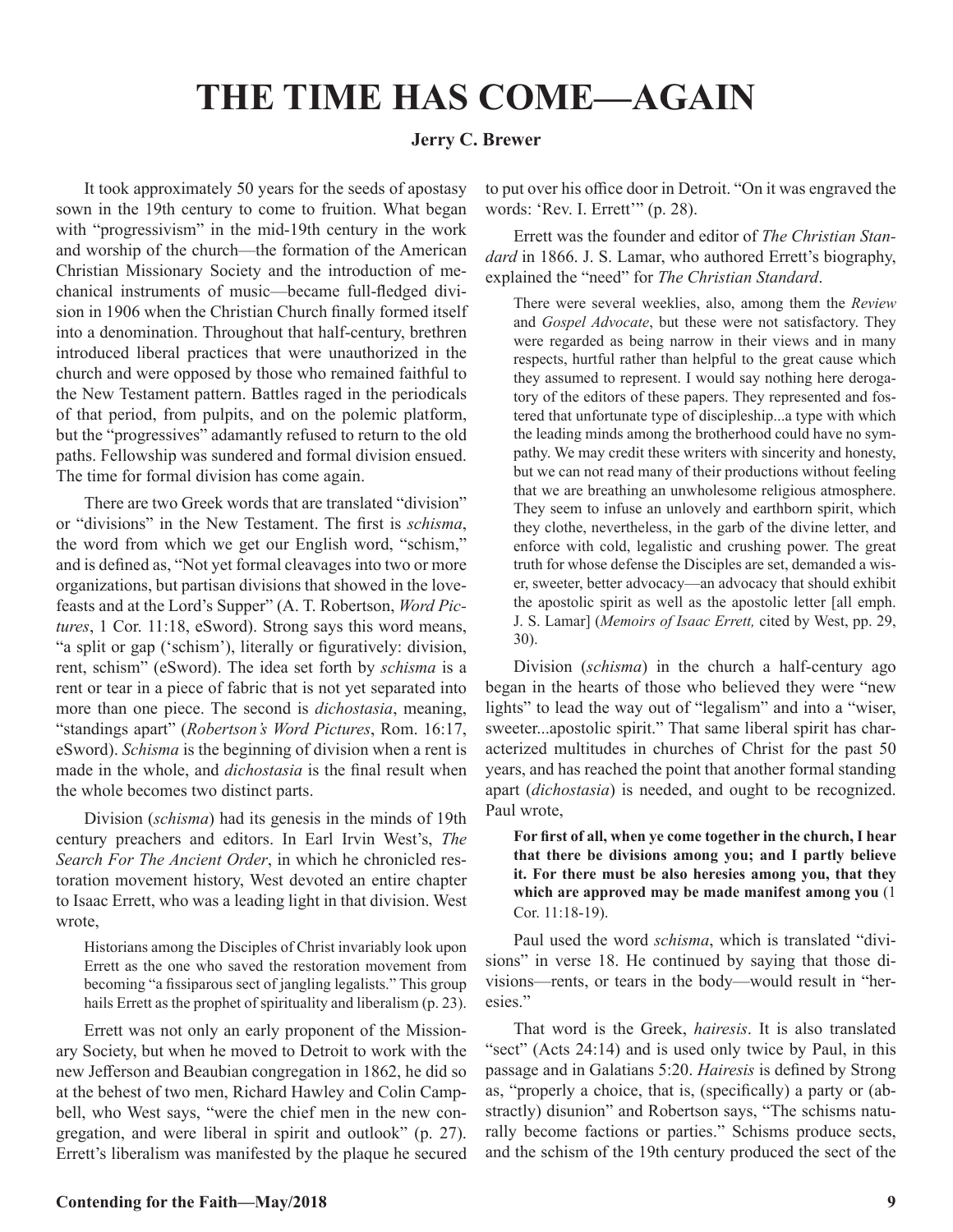## **THE TIME HAS COME—AGAIN**

#### **Jerry C. Brewer**

It took approximately 50 years for the seeds of apostasy sown in the 19th century to come to fruition. What began with "progressivism" in the mid-19th century in the work and worship of the church—the formation of the American Christian Missionary Society and the introduction of mechanical instruments of music—became full-fledged division in 1906 when the Christian Church finally formed itself into a denomination. Throughout that half-century, brethren introduced liberal practices that were unauthorized in the church and were opposed by those who remained faithful to the New Testament pattern. Battles raged in the periodicals of that period, from pulpits, and on the polemic platform, but the "progressives" adamantly refused to return to the old paths. Fellowship was sundered and formal division ensued. The time for formal division has come again.

There are two Greek words that are translated "division" or "divisions" in the New Testament. The first is *schisma*, the word from which we get our English word, "schism," and is defined as, "Not yet formal cleavages into two or more organizations, but partisan divisions that showed in the lovefeasts and at the Lord's Supper" (A. T. Robertson, *Word Pictures*, 1 Cor. 11:18, eSword). Strong says this word means, "a split or gap ('schism'), literally or figuratively: division, rent, schism" (eSword). The idea set forth by *schisma* is a rent or tear in a piece of fabric that is not yet separated into more than one piece. The second is *dichostasia*, meaning, "standings apart" (*Robertson's Word Pictures*, Rom. 16:17, eSword). *Schisma* is the beginning of division when a rent is made in the whole, and *dichostasia* is the final result when the whole becomes two distinct parts.

Division (*schisma*) had its genesis in the minds of 19th century preachers and editors. In Earl Irvin West's, *The Search For The Ancient Order*, in which he chronicled restoration movement history, West devoted an entire chapter to Isaac Errett, who was a leading light in that division. West wrote,

Historians among the Disciples of Christ invariably look upon Errett as the one who saved the restoration movement from becoming "a fissiparous sect of jangling legalists." This group hails Errett as the prophet of spirituality and liberalism (p. 23).

Errett was not only an early proponent of the Missionary Society, but when he moved to Detroit to work with the new Jefferson and Beaubian congregation in 1862, he did so at the behest of two men, Richard Hawley and Colin Campbell, who West says, "were the chief men in the new congregation, and were liberal in spirit and outlook" (p. 27). Errett's liberalism was manifested by the plaque he secured to put over his office door in Detroit. "On it was engraved the words: 'Rev. I. Errett'" (p. 28).

Errett was the founder and editor of *The Christian Standard* in 1866. J. S. Lamar, who authored Errett's biography, explained the "need" for *The Christian Standard*.

There were several weeklies, also, among them the *Review* and *Gospel Advocate*, but these were not satisfactory. They were regarded as being narrow in their views and in many respects, hurtful rather than helpful to the great cause which they assumed to represent. I would say nothing here derogatory of the editors of these papers. They represented and fostered that unfortunate type of discipleship...a type with which the leading minds among the brotherhood could have no sympathy. We may credit these writers with sincerity and honesty, but we can not read many of their productions without feeling that we are breathing an unwholesome religious atmosphere. They seem to infuse an unlovely and earthborn spirit, which they clothe, nevertheless, in the garb of the divine letter, and enforce with cold, legalistic and crushing power. The great truth for whose defense the Disciples are set, demanded a wiser, sweeter, better advocacy—an advocacy that should exhibit the apostolic spirit as well as the apostolic letter [all emph. J. S. Lamar] (*Memoirs of Isaac Errett,* cited by West, pp. 29, 30).

Division (*schisma*) in the church a half-century ago began in the hearts of those who believed they were "new lights" to lead the way out of "legalism" and into a "wiser, sweeter...apostolic spirit." That same liberal spirit has characterized multitudes in churches of Christ for the past 50 years, and has reached the point that another formal standing apart (*dichostasia*) is needed, and ought to be recognized. Paul wrote,

**For first of all, when ye come together in the church, I hear that there be divisions among you; and I partly believe it. For there must be also heresies among you, that they which are approved may be made manifest among you** (1 Cor. 11:18-19).

Paul used the word *schisma*, which is translated "divisions" in verse 18. He continued by saying that those divisions—rents, or tears in the body—would result in "heresies."

That word is the Greek, *hairesis*. It is also translated "sect" (Acts 24:14) and is used only twice by Paul, in this passage and in Galatians 5:20. *Hairesis* is defined by Strong as, "properly a choice, that is, (specifically) a party or (abstractly) disunion" and Robertson says, "The schisms naturally become factions or parties." Schisms produce sects, and the schism of the 19th century produced the sect of the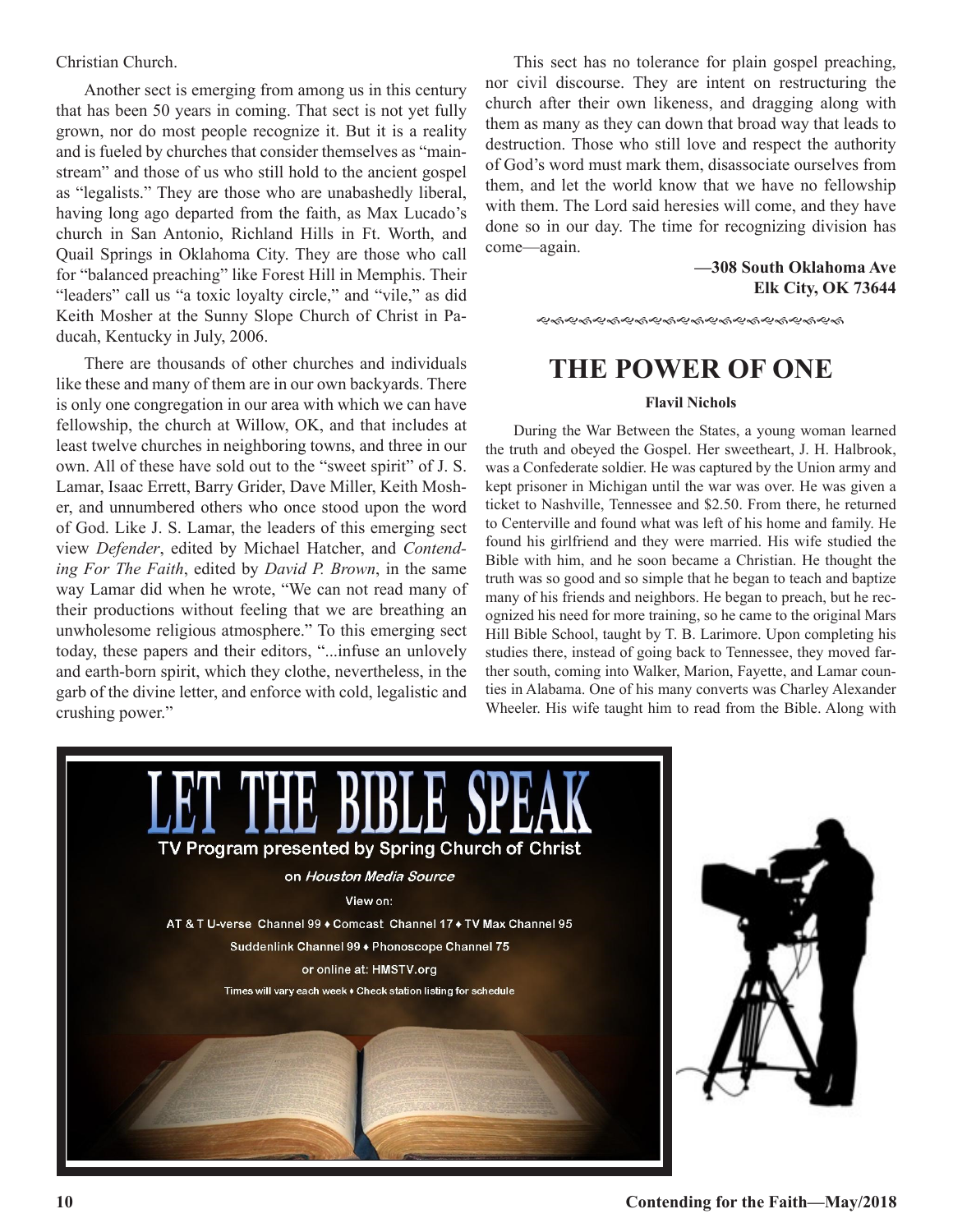#### Christian Church.

Another sect is emerging from among us in this century that has been 50 years in coming. That sect is not yet fully grown, nor do most people recognize it. But it is a reality and is fueled by churches that consider themselves as "mainstream" and those of us who still hold to the ancient gospel as "legalists." They are those who are unabashedly liberal, having long ago departed from the faith, as Max Lucado's church in San Antonio, Richland Hills in Ft. Worth, and Quail Springs in Oklahoma City. They are those who call for "balanced preaching" like Forest Hill in Memphis. Their "leaders" call us "a toxic loyalty circle," and "vile," as did Keith Mosher at the Sunny Slope Church of Christ in Paducah, Kentucky in July, 2006.

There are thousands of other churches and individuals like these and many of them are in our own backyards. There is only one congregation in our area with which we can have fellowship, the church at Willow, OK, and that includes at least twelve churches in neighboring towns, and three in our own. All of these have sold out to the "sweet spirit" of J. S. Lamar, Isaac Errett, Barry Grider, Dave Miller, Keith Mosher, and unnumbered others who once stood upon the word of God. Like J. S. Lamar, the leaders of this emerging sect view *Defender*, edited by Michael Hatcher, and *Contending For The Faith*, edited by *David P. Brown*, in the same way Lamar did when he wrote, "We can not read many of their productions without feeling that we are breathing an unwholesome religious atmosphere." To this emerging sect today, these papers and their editors, "...infuse an unlovely and earth-born spirit, which they clothe, nevertheless, in the garb of the divine letter, and enforce with cold, legalistic and crushing power."

This sect has no tolerance for plain gospel preaching, nor civil discourse. They are intent on restructuring the church after their own likeness, and dragging along with them as many as they can down that broad way that leads to destruction. Those who still love and respect the authority of God's word must mark them, disassociate ourselves from them, and let the world know that we have no fellowship with them. The Lord said heresies will come, and they have done so in our day. The time for recognizing division has come—again.

> **—308 South Oklahoma Ave Elk City, OK 73644**

**��ଈ�ଈ**୫୫୫୫୫୫୫୫୫୫୫୫୫୫୫୫୫୫

### **THE POWER OF ONE**

#### **Flavil Nichols**

During the War Between the States, a young woman learned the truth and obeyed the Gospel. Her sweetheart, J. H. Halbrook, was a Confederate soldier. He was captured by the Union army and kept prisoner in Michigan until the war was over. He was given a ticket to Nashville, Tennessee and \$2.50. From there, he returned to Centerville and found what was left of his home and family. He found his girlfriend and they were married. His wife studied the Bible with him, and he soon became a Christian. He thought the truth was so good and so simple that he began to teach and baptize many of his friends and neighbors. He began to preach, but he recognized his need for more training, so he came to the original Mars Hill Bible School, taught by T. B. Larimore. Upon completing his studies there, instead of going back to Tennessee, they moved farther south, coming into Walker, Marion, Fayette, and Lamar counties in Alabama. One of his many converts was Charley Alexander Wheeler. His wife taught him to read from the Bible. Along with

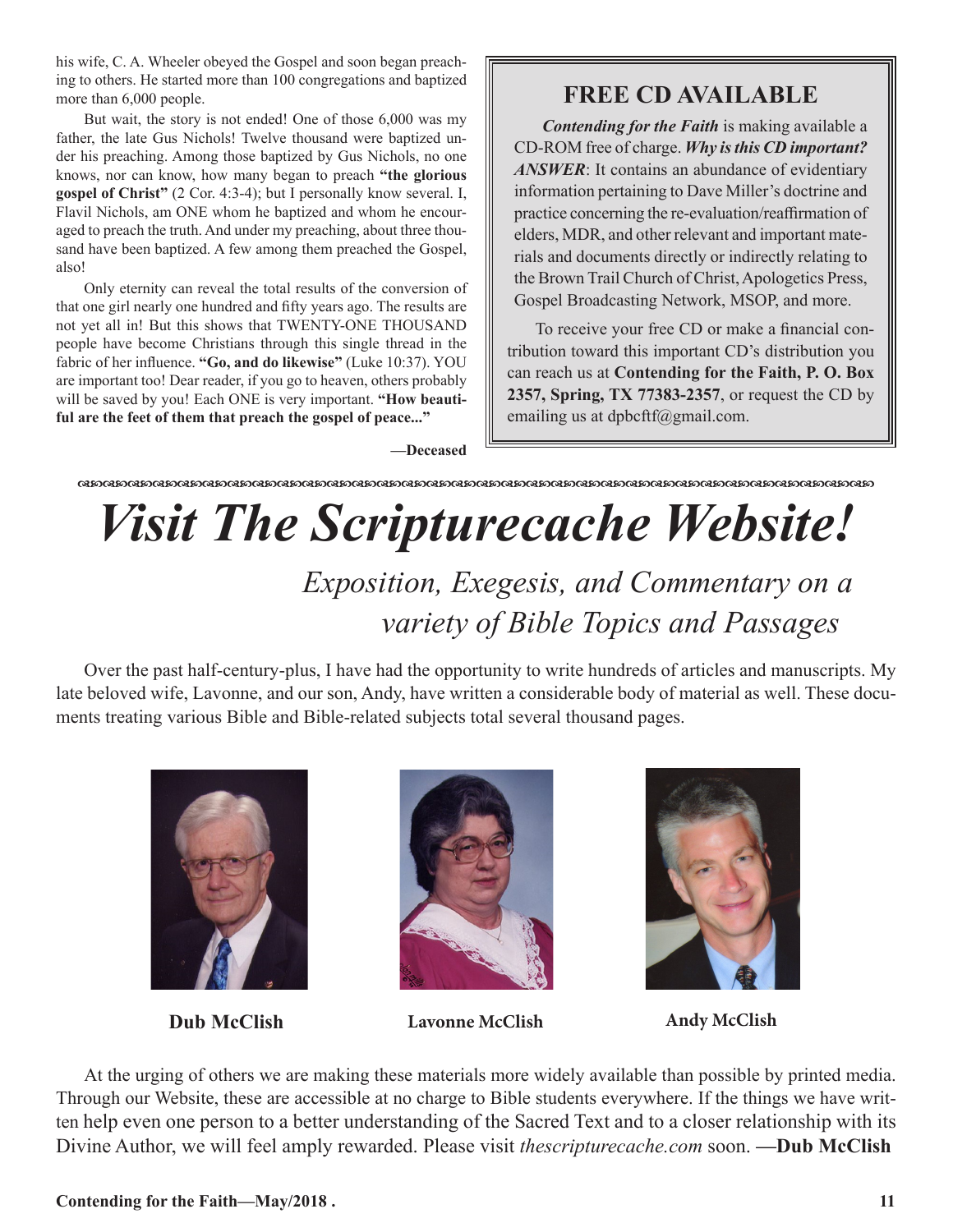his wife, C. A. Wheeler obeyed the Gospel and soon began preaching to others. He started more than 100 congregations and baptized more than 6,000 people.

But wait, the story is not ended! One of those 6,000 was my father, the late Gus Nichols! Twelve thousand were baptized under his preaching. Among those baptized by Gus Nichols, no one knows, nor can know, how many began to preach **"the glorious gospel of Christ"** (2 Cor. 4:3-4); but I personally know several. I, Flavil Nichols, am ONE whom he baptized and whom he encouraged to preach the truth. And under my preaching, about three thousand have been baptized. A few among them preached the Gospel, also!

Only eternity can reveal the total results of the conversion of that one girl nearly one hundred and fifty years ago. The results are not yet all in! But this shows that TWENTY-ONE THOUSAND people have become Christians through this single thread in the fabric of her influence. **"Go, and do likewise"** (Luke 10:37). YOU are important too! Dear reader, if you go to heaven, others probably will be saved by you! Each ONE is very important. **"How beautiful are the feet of them that preach the gospel of peace..."**

### **FREE CD AVAILABLE**

*Contending for the Faith* is making available a CD-ROM free of charge. *Why is this CD important? ANSWER*: It contains an abundance of evidentiary information pertaining to Dave Miller's doctrine and practice concerning the re-evaluation/reaffirmation of elders, MDR, and other relevant and important materials and documents directly or indirectly relating to the Brown Trail Church of Christ, Apologetics Press, Gospel Broadcasting Network, MSOP, and more.

To receive your free CD or make a financial contribution toward this important CD's distribution you can reach us at **Contending for the Faith, P. O. Box 2357, Spring, TX 77383-2357**, or request the CD by emailing us at dpbcftf@gmail.com.

**—Deceased**

#### dcdcdcdcdcdcdcdcdcdcdcdcdcdcdcdcdcdcdcdcdcdcdcdcdcdcdcdcdcdcdcdc

# *Visit The Scripturecache Website!*

 *Exposition, Exegesis, and Commentary on a variety of Bible Topics and Passages*

Over the past half-century-plus, I have had the opportunity to write hundreds of articles and manuscripts. My late beloved wife, Lavonne, and our son, Andy, have written a considerable body of material as well. These documents treating various Bible and Bible-related subjects total several thousand pages.





**Dub McClish Lavonne McClish Andy McClish**



At the urging of others we are making these materials more widely available than possible by printed media. Through our Website, these are accessible at no charge to Bible students everywhere. If the things we have written help even one person to a better understanding of the Sacred Text and to a closer relationship with its Divine Author, we will feel amply rewarded. Please visit *thescripturecache.com* soon. **—Dub McClish**